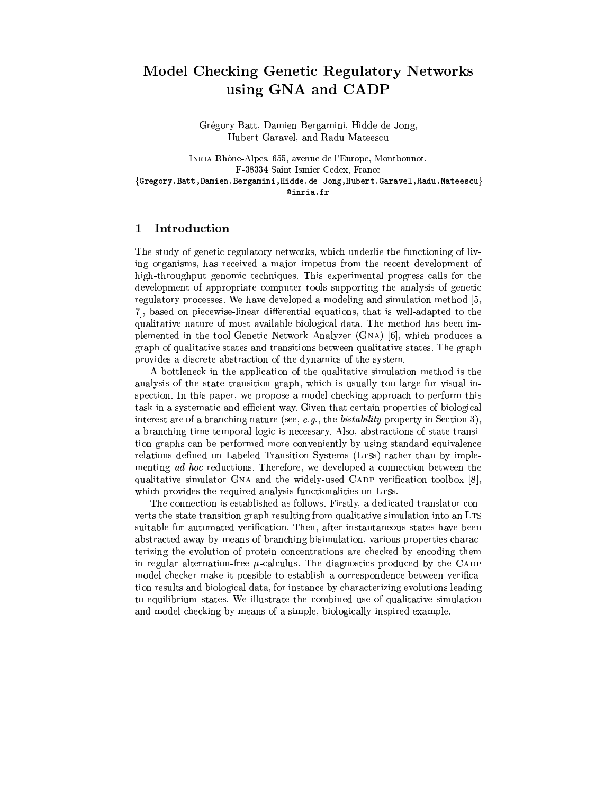# Model Checking Genetic Regulatory Networks using GNA and CADP

Grégory Batt, Damien Bergamini, Hidde de Jong, Hubert Garavel, and Radu Mateescu

INRIA Rhône-Alpes, 655, avenue de l'Europe, Montbonnot, F-38334 Saint Ismier Cedex, France {Gregory.Batt,Damien.Bergamini,Hidde.de-Jong,Hubert.Garavel,Radu.Mateescu}  $@inria.fr$ 

### $\mathbf{1}$ Introduction

The study of genetic regulatory networks, which underlie the functioning of living organisms, has received a major impetus from the recent development of high-throughput genomic techniques. This experimental progress calls for the development of appropriate computer tools supporting the analysis of genetic regulatory processes. We have developed a modeling and simulation method [5, 7, based on piecewise-linear differential equations, that is well-adapted to the qualitative nature of most available biological data. The method has been implemented in the tool Genetic Network Analyzer (GNA) [6], which produces a graph of qualitative states and transitions between qualitative states. The graph provides a discrete abstraction of the dynamics of the system.

A bottleneck in the application of the qualitative simulation method is the analysis of the state transition graph, which is usually too large for visual inspection. In this paper, we propose a model-checking approach to perform this task in a systematic and efficient way. Given that certain properties of biological interest are of a branching nature (see,  $e.g.,$  the *bistability* property in Section 3), a branching-time temporal logic is necessary. Also, abstractions of state transition graphs can be performed more conveniently by using standard equivalence relations defined on Labeled Transition Systems (LTSs) rather than by implementing ad hoc reductions. Therefore, we developed a connection between the qualitative simulator GNA and the widely-used CADP verification toolbox [8], which provides the required analysis functionalities on LTSs.

The connection is established as follows. Firstly, a dedicated translator converts the state transition graph resulting from qualitative simulation into an LTS suitable for automated verification. Then, after instantaneous states have been abstracted away by means of branching bisimulation, various properties characterizing the evolution of protein concentrations are checked by encoding them in regular alternation-free  $\mu$ -calculus. The diagnostics produced by the CADP model checker make it possible to establish a correspondence between verification results and biological data, for instance by characterizing evolutions leading to equilibrium states. We illustrate the combined use of qualitative simulation and model checking by means of a simple, biologically-inspired example.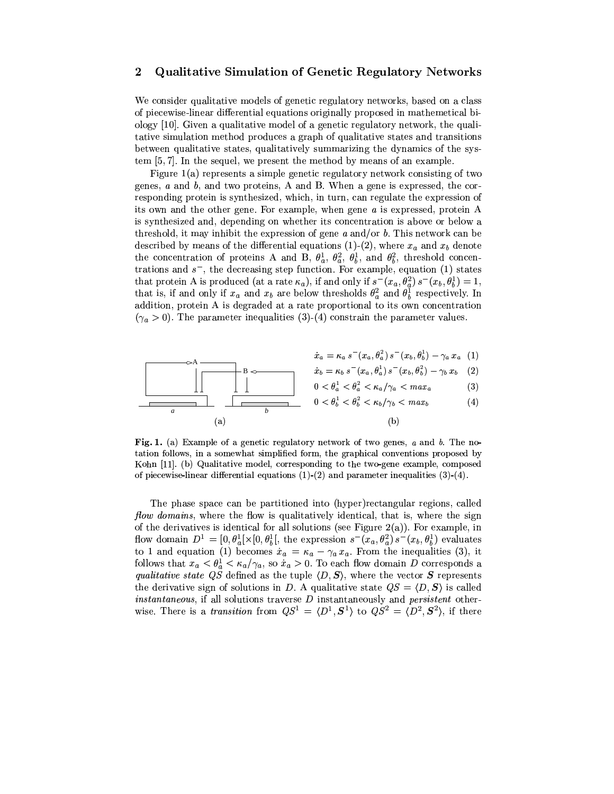# Qualitative Simulation of Genetic Regulatory Networks  $\boldsymbol{2}$

We consider qualitative models of genetic regulatory networks, based on a class of piecewise-linear differential equations originally proposed in mathemetical biology [10]. Given a qualitative model of a genetic regulatory network, the qualitative simulation method produces a graph of qualitative states and transitions between qualitative states, qualitatively summarizing the dynamics of the system  $[5, 7]$ . In the sequel, we present the method by means of an example.

Figure  $1(a)$  represents a simple genetic regulatory network consisting of two genes,  $a$  and  $b$ , and two proteins, A and B. When a gene is expressed, the corresponding protein is synthesized, which, in turn, can regulate the expression of its own and the other gene. For example, when gene  $a$  is expressed, protein A is synthesized and, depending on whether its concentration is above or below a threshold, it may inhibit the expression of gene  $a$  and/or  $b$ . This network can be described by means of the differential equations (1)-(2), where  $x_a$  and  $x_b$  denote the concentration of proteins A and B,  $\theta_a^1$ ,  $\theta_a^2$ ,  $\theta_b^1$ , and  $\theta_b^2$ , threshold concentrations and  $s^-$ , the decreasing step function. For example, equation (1) states that protein A is produced (at a rate  $\kappa_a$ ), if and only if  $s^-(x_a, \theta_a^2)$   $s^-(x_b, \theta_b^1) = 1$ , that is, if and only if  $x_a$  and  $x_b$  are below thresholds  $\theta_a^2$  and  $\theta_b^1$  respectively. In addition, protein A is degraded at a rate proportional to its own concentration  $(\gamma_a > 0)$ . The parameter inequalities (3)-(4) constrain the parameter values.

$$
\dot{x}_a = \kappa_a \, s^-(x_a, \theta_a^2) \, s^-(x_b, \theta_b^1) - \gamma_a \, x_a \ \ (1)
$$

$$
\mathbf{B} \leftarrow \mathbf{B} \leftarrow \mathbf{B} \mathbf{B} \mathbf{B}^{-} \left( x_a, \theta_a^1 \right) s^{-} \left( x_b, \theta_b^2 \right) - \gamma_b x_b \quad (2)
$$

$$
0 < \theta_a^1 < \theta_a^2 < \kappa_a / \gamma_a < \max_a \tag{3}
$$

Fig. 1. (a) Example of a genetic regulatory network of two genes,  $a$  and  $b$ . The notation follows, in a somewhat simplified form, the graphical conventions proposed by Kohn [11]. (b) Qualitative model, corresponding to the two-gene example, composed of piecewise-linear differential equations  $(1)-(2)$  and parameter inequalities  $(3)-(4)$ .

The phase space can be partitioned into (hyper)rectangular regions, called *flow domains*, where the flow is qualitatively identical, that is, where the sign of the derivatives is identical for all solutions (see Figure 2(a)). For example, in flow domain  $D^1 = [0, \theta_a^1] \times [0, \theta_b^1]$ , the expression  $s^-(x_a, \theta_a^2) s^-(x_b, \theta_b^1)$  evaluates to 1 and equation (1) becomes  $x_a = \kappa_a - \gamma_a x_a$ . From the inequalities (3), it follows that  $x_a < \theta_a^1 < \kappa_a/\gamma_a$ , so  $x_a > 0$ . To each flow domain *D* corresponds a qualitative state QS defined as the tuple  $\langle D, S \rangle$ , where the vector S represents the derivative sign of solutions in D. A qualitative state  $QS = \langle D, S \rangle$  is called *instantaneous*, if all solutions traverse  $D$  instantaneously and *persistent* otherwise. There is a *transition* from  $QS^1 = \langle D^1, S^1 \rangle$  to  $QS^2 = \langle D^2, S^2 \rangle$ , if there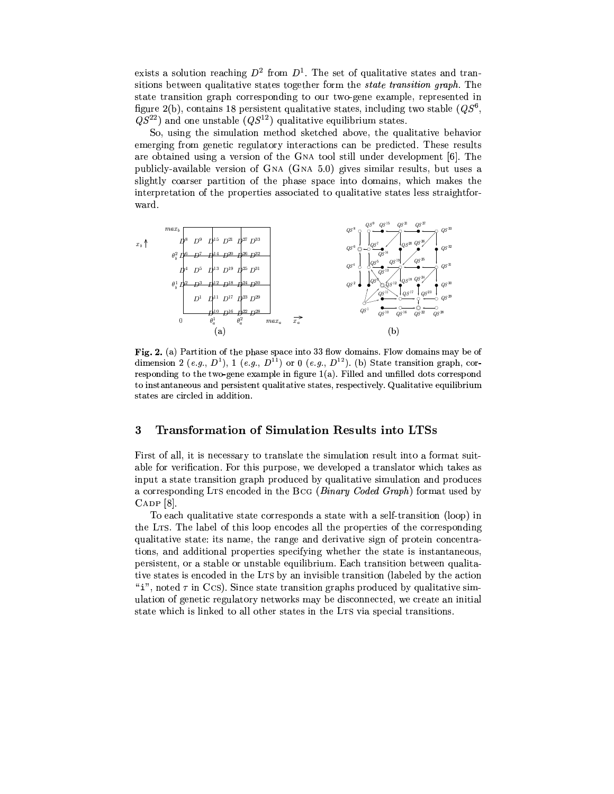exists a solution reaching  $D^2$  from  $D^1$ . The set of qualitative states and transitions between qualitative states together form the *state transition graph*. The state transition graph corresponding to our two-gene example, represented in figure 2(b), contains 18 persistent qualitative states, including two stable  $(QS^6,$  $QS^{22}$  and one unstable  $(QS^{12})$  qualitative equilibrium states.

So, using the simulation method sketched above, the qualitative behavior emerging from genetic regulatory interactions can be predicted. These results are obtained using a version of the GNA tool still under development [6]. The publicly-available version of  $GNA$  ( $GNA$  5.0) gives similar results, but uses a slightly coarser partition of the phase space into domains, which makes the interpretation of the properties associated to qualitative states less straightforward.



Fig. 2. (a) Partition of the phase space into 33 flow domains. Flow domains may be of dimension 2 (e.g.,  $D^1$ ), 1 (e.g.,  $D^{11}$ ) or 0 (e.g.,  $D^{12}$ ). (b) State transition graph, corresponding to the two-gene example in figure  $1(a)$ . Filled and unfilled dots correspond to instantaneous and persistent qualitative states, respectively. Qualitative equilibrium states are circled in addition.

## Transformation of Simulation Results into LTSs  $\boldsymbol{3}$

First of all, it is necessary to translate the simulation result into a format suitable for verification. For this purpose, we developed a translator which takes as input a state transition graph produced by qualitative simulation and produces a corresponding LTs encoded in the BCG (Binary Coded Graph) format used by  $CADP$  [8].

To each qualitative state corresponds a state with a self-transition (loop) in the LTS. The label of this loop encodes all the properties of the corresponding qualitative state: its name, the range and derivative sign of protein concentrations, and additional properties specifying whether the state is instantaneous, persistent, or a stable or unstable equilibrium. Each transition between qualitative states is encoded in the LTS by an invisible transition (labeled by the action "i", noted  $\tau$  in Ccs). Since state transition graphs produced by qualitative simulation of genetic regulatory networks may be disconnected, we create an initial state which is linked to all other states in the LTS via special transitions.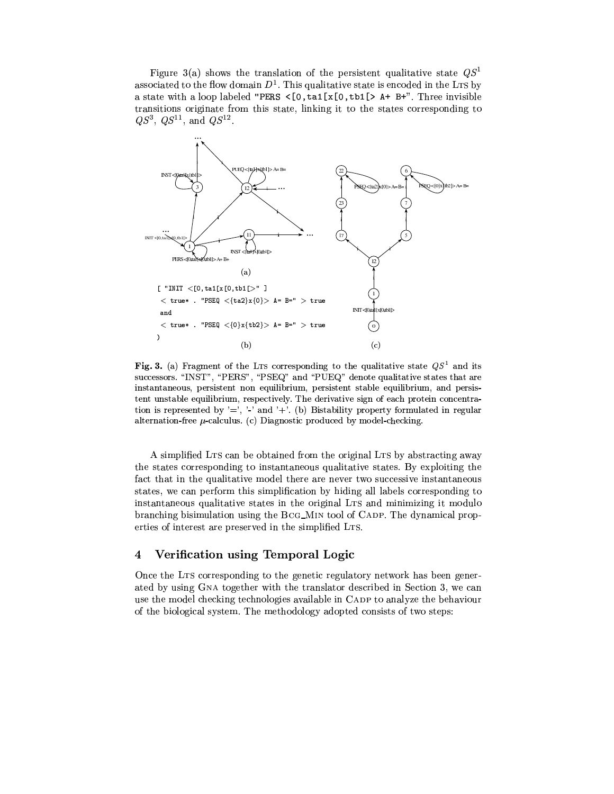Figure 3(a) shows the translation of the persistent qualitative state  $QS<sup>1</sup>$ associated to the flow domain  $D^1$ . This qualitative state is encoded in the LTs by a state with a loop labeled "PERS  $\langle$  [0, ta1[x[0, tb1[> A+ B+". Three invisible transitions originate from this state, linking it to the states corresponding to  $QS^3$ ,  $QS^{11}$ , and  $QS^{12}$ .



Fig. 3. (a) Fragment of the LTs corresponding to the qualitative state  $QS<sup>1</sup>$  and its successors. "INST", "PERS", "PSEQ" and "PUEQ" denote qualitative states that are instantaneous, persistent non equilibrium, persistent stable equilibrium, and persistent unstable equilibrium, respectively. The derivative sign of each protein concentration is represented by  $' ='$ ,  $' ='$  and  $' +'$ . (b) Bistability property formulated in regular alternation-free  $\mu$ -calculus. (c) Diagnostic produced by model-checking.

A simplified LTS can be obtained from the original LTS by abstracting away the states corresponding to instantaneous qualitative states. By exploiting the fact that in the qualitative model there are never two successive instantaneous states, we can perform this simplification by hiding all labels corresponding to instantaneous qualitative states in the original LTS and minimizing it modulo branching bisimulation using the BCG\_MIN tool of CADP. The dynamical properties of interest are preserved in the simplified LTS.

### Verification using Temporal Logic 4

Once the LTS corresponding to the genetic regulatory network has been generated by using GNA together with the translator described in Section 3, we can use the model checking technologies available in CADP to analyze the behaviour of the biological system. The methodology adopted consists of two steps: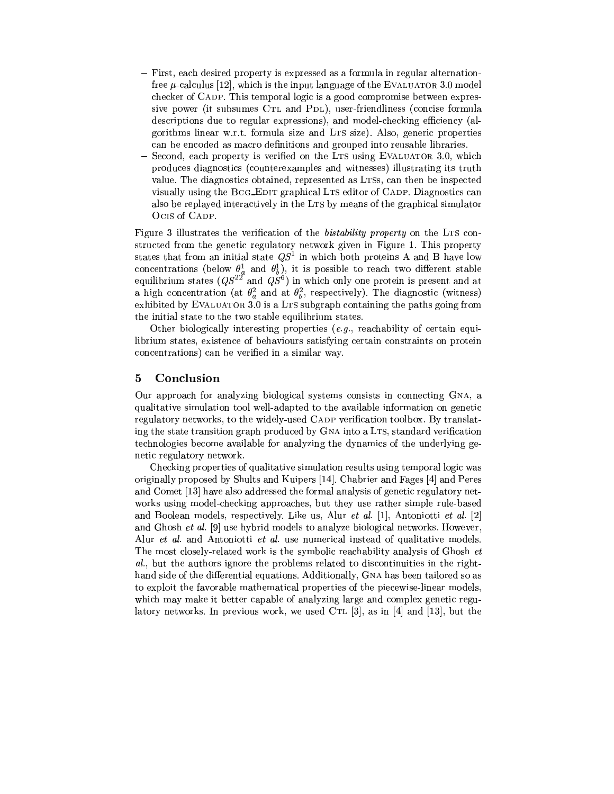- First, each desired property is expressed as a formula in regular alternationfree  $\mu$ -calculus [12], which is the input language of the EVALUATOR 3.0 model checker of CADP. This temporal logic is a good compromise between expressive power (it subsumes CTL and PDL), user-friendliness (concise formula descriptions due to regular expressions), and model-checking efficiency (algorithms linear w.r.t. formula size and LTS size). Also, generic properties can be encoded as macro definitions and grouped into reusable libraries.
- Second, each property is verified on the LTS using EVALUATOR 3.0, which produces diagnostics (counterexamples and witnesses) illustrating its truth value. The diagnostics obtained, represented as LTSs, can then be inspected visually using the BCG\_EDIT graphical LTS editor of CADP. Diagnostics can also be replayed interactively in the LTS by means of the graphical simulator OCIS of CADP.

Figure 3 illustrates the verification of the *bistability property* on the LTS constructed from the genetic regulatory network given in Figure 1. This property states that from an initial state  $QS<sup>1</sup>$  in which both proteins A and B have low concentrations (below  $\theta_a^1$  and  $\theta_b^1$ ), it is possible to reach two different stable equilibrium states  $(QS^{22}$  and  $QS^6)$  in which only one protein is present and at a high concentration (at  $\theta_n^2$  and at  $\theta_h^2$ , respectively). The diagnostic (witness) exhibited by EVALUATOR 3.0 is a LTS subgraph containing the paths going from the initial state to the two stable equilibrium states.

Other biologically interesting properties  $(e.g., \text{ reachability of certain equi-})$ librium states, existence of behaviours satisfying certain constraints on protein concentrations) can be verified in a similar way.

### 5 Conclusion

Our approach for analyzing biological systems consists in connecting GNA, a qualitative simulation tool well-adapted to the available information on genetic regulatory networks, to the widely-used CADP verification toolbox. By translating the state transition graph produced by GNA into a LTS, standard verification technologies become available for analyzing the dynamics of the underlying genetic regulatory network.

Checking properties of qualitative simulation results using temporal logic was originally proposed by Shults and Kuipers [14]. Chabrier and Fages [4] and Peres and Comet [13] have also addressed the formal analysis of genetic regulatory networks using model-checking approaches, but they use rather simple rule-based and Boolean models, respectively. Like us, Alur *et al.* [1], Antoniotti *et al.* [2] and Ghosh et al. [9] use hybrid models to analyze biological networks. However, Alur et al. and Antoniotti et al. use numerical instead of qualitative models. The most closely-related work is the symbolic reachability analysis of Ghosh et al., but the authors ignore the problems related to discontinuities in the righthand side of the differential equations. Additionally, GNA has been tailored so as to exploit the favorable mathematical properties of the piecewise-linear models. which may make it better capable of analyzing large and complex genetic regulatory networks. In previous work, we used CTL  $[3]$ , as in  $[4]$  and  $[13]$ , but the